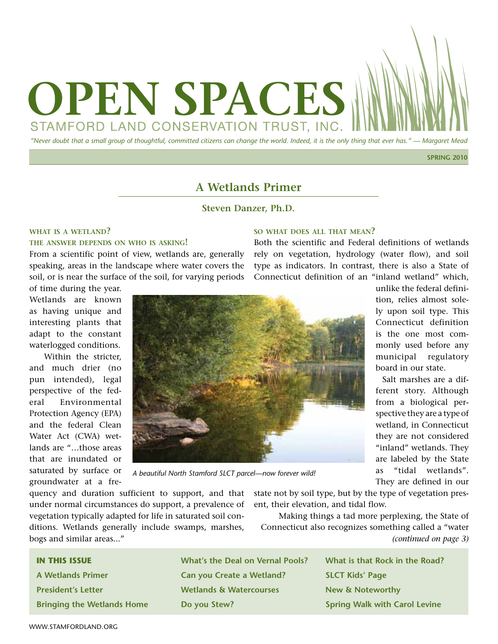

**SPRING 2010**

## **A Wetlands Primer**

### **Steven Danzer, Ph.D.**

#### **what is a wetland?**

#### **the answer depends on who is asking!**

From a scientific point of view, wetlands are, generally speaking, areas in the landscape where water covers the soil, or is near the surface of the soil, for varying periods

of time during the year. Wetlands are known as having unique and interesting plants that adapt to the constant waterlogged conditions.

Within the stricter, and much drier (no pun intended), legal perspective of the federal Environmental Protection Agency (EPA) and the federal Clean Water Act (CWA) wetlands are "…those areas that are inundated or saturated by surface or groundwater at a fre-



*A beautiful North Stamford SLCT parcel—now forever wild!*

quency and duration sufficient to support, and that under normal circumstances do support, a prevalence of vegetation typically adapted for life in saturated soil conditions. Wetlands generally include swamps, marshes, bogs and similar areas..."

state not by soil type, but by the type of vegetation present, their elevation, and tidal flow.

Making things a tad more perplexing, the State of Connecticut also recognizes something called a "water *(continued on page 3)*

> **What is that Rock in the Road? SLCT Kids' Page New & Noteworthy Spring Walk with Carol Levine**

## **so what does all that mean?**

Both the scientific and Federal definitions of wetlands rely on vegetation, hydrology (water flow), and soil type as indicators. In contrast, there is also a State of Connecticut definition of an "inland wetland" which,

unlike the federal definition, relies almost solely upon soil type. This Connecticut definition is the one most commonly used before any municipal regulatory board in our state.

Salt marshes are a different story. Although from a biological perspective they are a type of wetland, in Connecticut they are not considered "inland" wetlands. They are labeled by the State as "tidal wetlands". They are defined in our

**Bringing the Wetlands Home**

**A Wetlands Primer President's Letter**

**IN THIS ISSUE**

| <b>What's the Deal on Vernal Pools?</b> |
|-----------------------------------------|
| Can you Create a Wetland?               |
| Wetlands & Watercourses                 |
| Do you Stew?                            |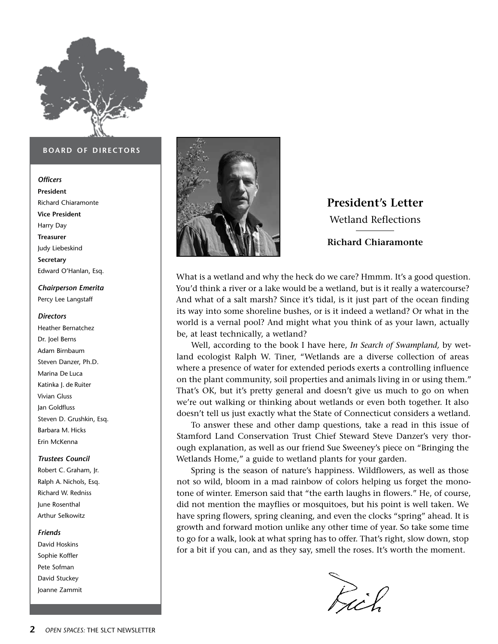

#### **board of directors**

#### *Officers*

**President** Richard Chiaramonte **Vice President** Harry Day **Treasurer**  Judy Liebeskind **Secretary** Edward O'Hanlan, Esq.

### *Chairperson Emerita* Percy Lee Langstaff

#### *Directors*

Heather Bernatchez Dr. Joel Berns Adam Birnbaum Steven Danzer, Ph.D. Marina De Luca Katinka I. de Ruiter Vivian Gluss Jan Goldfluss Steven D. Grushkin, Esq. Barbara M. Hicks Erin McKenna

#### *Trustees Council*

Robert C. Graham, Jr. Ralph A. Nichols, Esq. Richard W. Redniss June Rosenthal Arthur Selkowitz

#### *Friends*

David Hoskins Sophie Koffler Pete Sofman David Stuckey Joanne Zammit



# **President's Letter** Wetland Reflections

### **Richard Chiaramonte**

What is a wetland and why the heck do we care? Hmmm. It's a good question. You'd think a river or a lake would be a wetland, but is it really a watercourse? And what of a salt marsh? Since it's tidal, is it just part of the ocean finding its way into some shoreline bushes, or is it indeed a wetland? Or what in the world is a vernal pool? And might what you think of as your lawn, actually be, at least technically, a wetland?

Well, according to the book I have here, *In Search of Swampland,* by wetland ecologist Ralph W. Tiner, "Wetlands are a diverse collection of areas where a presence of water for extended periods exerts a controlling influence on the plant community, soil properties and animals living in or using them." That's OK, but it's pretty general and doesn't give us much to go on when we're out walking or thinking about wetlands or even both together. It also doesn't tell us just exactly what the State of Connecticut considers a wetland.

To answer these and other damp questions, take a read in this issue of Stamford Land Conservation Trust Chief Steward Steve Danzer's very thorough explanation, as well as our friend Sue Sweeney's piece on "Bringing the Wetlands Home," a guide to wetland plants for your garden.

Spring is the season of nature's happiness. Wildflowers, as well as those not so wild, bloom in a mad rainbow of colors helping us forget the monotone of winter. Emerson said that "the earth laughs in flowers." He, of course, did not mention the mayflies or mosquitoes, but his point is well taken. We have spring flowers, spring cleaning, and even the clocks "spring" ahead. It is growth and forward motion unlike any other time of year. So take some time to go for a walk, look at what spring has to offer. That's right, slow down, stop for a bit if you can, and as they say, smell the roses. It's worth the moment.

Rich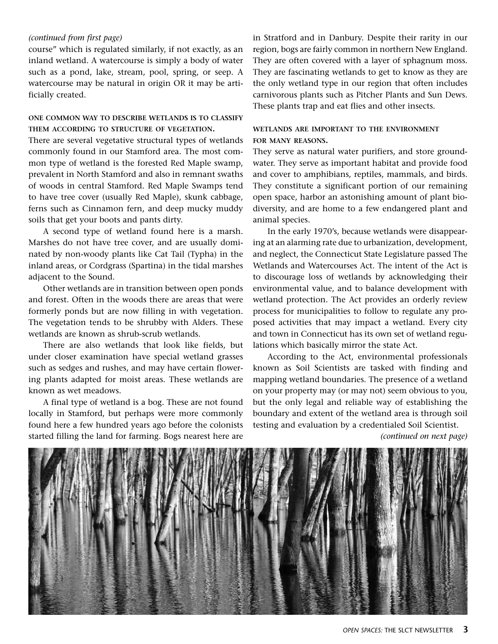#### *(continued from first page)*

course" which is regulated similarly, if not exactly, as an inland wetland. A watercourse is simply a body of water such as a pond, lake, stream, pool, spring, or seep. A watercourse may be natural in origin OR it may be artificially created.

### **one common way to describe wetlands is to classify them according to structure of vegetation.**

There are several vegetative structural types of wetlands commonly found in our Stamford area. The most common type of wetland is the forested Red Maple swamp, prevalent in North Stamford and also in remnant swaths of woods in central Stamford. Red Maple Swamps tend to have tree cover (usually Red Maple), skunk cabbage, ferns such as Cinnamon fern, and deep mucky muddy soils that get your boots and pants dirty.

A second type of wetland found here is a marsh. Marshes do not have tree cover, and are usually dominated by non-woody plants like Cat Tail (Typha) in the inland areas, or Cordgrass (Spartina) in the tidal marshes adjacent to the Sound.

Other wetlands are in transition between open ponds and forest. Often in the woods there are areas that were formerly ponds but are now filling in with vegetation. The vegetation tends to be shrubby with Alders. These wetlands are known as shrub-scrub wetlands.

There are also wetlands that look like fields, but under closer examination have special wetland grasses such as sedges and rushes, and may have certain flowering plants adapted for moist areas. These wetlands are known as wet meadows.

A final type of wetland is a bog. These are not found locally in Stamford, but perhaps were more commonly found here a few hundred years ago before the colonists started filling the land for farming. Bogs nearest here are in Stratford and in Danbury. Despite their rarity in our region, bogs are fairly common in northern New England. They are often covered with a layer of sphagnum moss. They are fascinating wetlands to get to know as they are the only wetland type in our region that often includes carnivorous plants such as Pitcher Plants and Sun Dews. These plants trap and eat flies and other insects.

### **wetlands are important to the environment for many reasons.**

They serve as natural water purifiers, and store groundwater. They serve as important habitat and provide food and cover to amphibians, reptiles, mammals, and birds. They constitute a significant portion of our remaining open space, harbor an astonishing amount of plant biodiversity, and are home to a few endangered plant and animal species.

In the early 1970's, because wetlands were disappearing at an alarming rate due to urbanization, development, and neglect, the Connecticut State Legislature passed The Wetlands and Watercourses Act. The intent of the Act is to discourage loss of wetlands by acknowledging their environmental value, and to balance development with wetland protection. The Act provides an orderly review process for municipalities to follow to regulate any proposed activities that may impact a wetland. Every city and town in Connecticut has its own set of wetland regulations which basically mirror the state Act.

According to the Act, environmental professionals known as Soil Scientists are tasked with finding and mapping wetland boundaries. The presence of a wetland on your property may (or may not) seem obvious to you, but the only legal and reliable way of establishing the boundary and extent of the wetland area is through soil testing and evaluation by a credentialed Soil Scientist.

*(continued on next page)*

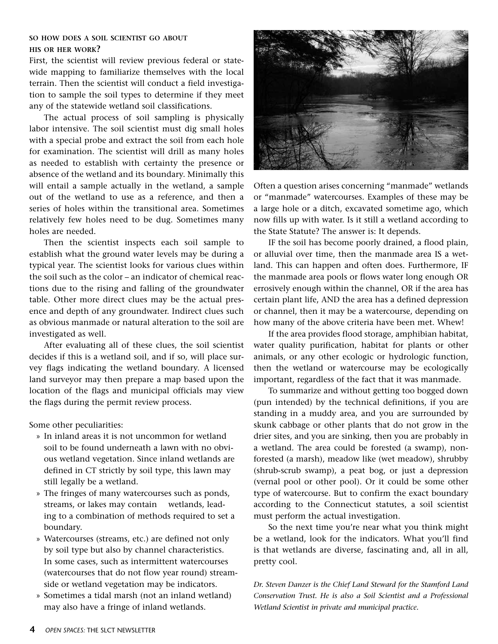#### **so how does a soil scientist go about his or her work?**

First, the scientist will review previous federal or statewide mapping to familiarize themselves with the local terrain. Then the scientist will conduct a field investigation to sample the soil types to determine if they meet any of the statewide wetland soil classifications.

The actual process of soil sampling is physically labor intensive. The soil scientist must dig small holes with a special probe and extract the soil from each hole for examination. The scientist will drill as many holes as needed to establish with certainty the presence or absence of the wetland and its boundary. Minimally this will entail a sample actually in the wetland, a sample out of the wetland to use as a reference, and then a series of holes within the transitional area. Sometimes relatively few holes need to be dug. Sometimes many holes are needed.

Then the scientist inspects each soil sample to establish what the ground water levels may be during a typical year. The scientist looks for various clues within the soil such as the color – an indicator of chemical reactions due to the rising and falling of the groundwater table. Other more direct clues may be the actual presence and depth of any groundwater. Indirect clues such as obvious manmade or natural alteration to the soil are investigated as well.

After evaluating all of these clues, the soil scientist decides if this is a wetland soil, and if so, will place survey flags indicating the wetland boundary. A licensed land surveyor may then prepare a map based upon the location of the flags and municipal officials may view the flags during the permit review process.

Some other peculiarities:

- » In inland areas it is not uncommon for wetland soil to be found underneath a lawn with no obvious wetland vegetation. Since inland wetlands are defined in CT strictly by soil type, this lawn may still legally be a wetland.
- » The fringes of many watercourses such as ponds, streams, or lakes may contain wetlands, leading to a combination of methods required to set a boundary.
- » Watercourses (streams, etc.) are defined not only by soil type but also by channel characteristics. In some cases, such as intermittent watercourses (watercourses that do not flow year round) streamside or wetland vegetation may be indicators.
- » Sometimes a tidal marsh (not an inland wetland) may also have a fringe of inland wetlands.



Often a question arises concerning "manmade" wetlands or "manmade" watercourses. Examples of these may be a large hole or a ditch, excavated sometime ago, which now fills up with water. Is it still a wetland according to the State Statute? The answer is: It depends.

IF the soil has become poorly drained, a flood plain, or alluvial over time, then the manmade area IS a wetland. This can happen and often does. Furthermore, IF the manmade area pools or flows water long enough OR errosively enough within the channel, OR if the area has certain plant life, AND the area has a defined depression or channel, then it may be a watercourse, depending on how many of the above criteria have been met. Whew!

If the area provides flood storage, amphibian habitat, water quality purification, habitat for plants or other animals, or any other ecologic or hydrologic function, then the wetland or watercourse may be ecologically important, regardless of the fact that it was manmade.

To summarize and without getting too bogged down (pun intended) by the technical definitions, if you are standing in a muddy area, and you are surrounded by skunk cabbage or other plants that do not grow in the drier sites, and you are sinking, then you are probably in a wetland. The area could be forested (a swamp), nonforested (a marsh), meadow like (wet meadow), shrubby (shrub-scrub swamp), a peat bog, or just a depression (vernal pool or other pool). Or it could be some other type of watercourse. But to confirm the exact boundary according to the Connecticut statutes, a soil scientist must perform the actual investigation.

So the next time you're near what you think might be a wetland, look for the indicators. What you'll find is that wetlands are diverse, fascinating and, all in all, pretty cool.

*Dr. Steven Danzer is the Chief Land Steward for the Stamford Land Conservation Trust. He is also a Soil Scientist and a Professional Wetland Scientist in private and municipal practice.*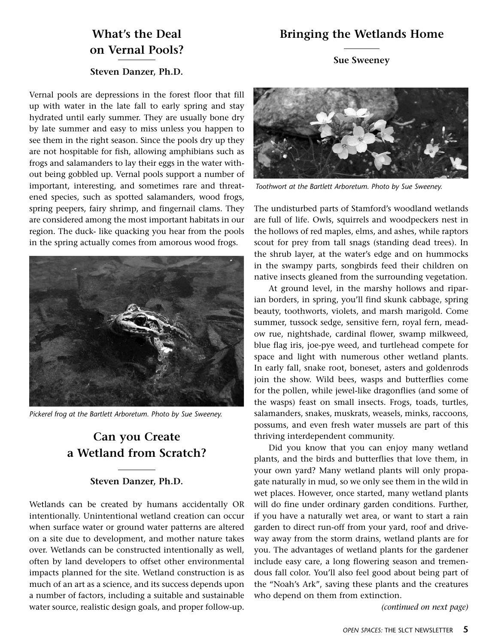## **Bringing the Wetlands Home**

## **What's the Deal on Vernal Pools?**

## **Sue Sweeney**

## **Steven Danzer, Ph.D.**

Vernal pools are depressions in the forest floor that fill up with water in the late fall to early spring and stay hydrated until early summer. They are usually bone dry by late summer and easy to miss unless you happen to see them in the right season. Since the pools dry up they are not hospitable for fish, allowing amphibians such as frogs and salamanders to lay their eggs in the water without being gobbled up. Vernal pools support a number of important, interesting, and sometimes rare and threatened species, such as spotted salamanders, wood frogs, spring peepers, fairy shrimp, and fingernail clams. They are considered among the most important habitats in our region. The duck- like quacking you hear from the pools in the spring actually comes from amorous wood frogs.



*Pickerel frog at the Bartlett Arboretum. Photo by Sue Sweeney.*

## **Can you Create a Wetland from Scratch?**

### **Steven Danzer, Ph.D.**

Wetlands can be created by humans accidentally OR intentionally. Unintentional wetland creation can occur when surface water or ground water patterns are altered on a site due to development, and mother nature takes over. Wetlands can be constructed intentionally as well, often by land developers to offset other environmental impacts planned for the site. Wetland construction is as much of an art as a science, and its success depends upon a number of factors, including a suitable and sustainable water source, realistic design goals, and proper follow-up.



*Toothwort at the Bartlett Arboretum. Photo by Sue Sweeney.*

The undisturbed parts of Stamford's woodland wetlands are full of life. Owls, squirrels and woodpeckers nest in the hollows of red maples, elms, and ashes, while raptors scout for prey from tall snags (standing dead trees). In the shrub layer, at the water's edge and on hummocks in the swampy parts, songbirds feed their children on native insects gleaned from the surrounding vegetation.

At ground level, in the marshy hollows and riparian borders, in spring, you'll find skunk cabbage, spring beauty, toothworts, violets, and marsh marigold. Come summer, tussock sedge, sensitive fern, royal fern, meadow rue, nightshade, cardinal flower, swamp milkweed, blue flag iris, joe-pye weed, and turtlehead compete for space and light with numerous other wetland plants. In early fall, snake root, boneset, asters and goldenrods join the show. Wild bees, wasps and butterflies come for the pollen, while jewel-like dragonflies (and some of the wasps) feast on small insects. Frogs, toads, turtles, salamanders, snakes, muskrats, weasels, minks, raccoons, possums, and even fresh water mussels are part of this thriving interdependent community.

Did you know that you can enjoy many wetland plants, and the birds and butterflies that love them, in your own yard? Many wetland plants will only propagate naturally in mud, so we only see them in the wild in wet places. However, once started, many wetland plants will do fine under ordinary garden conditions. Further, if you have a naturally wet area, or want to start a rain garden to direct run-off from your yard, roof and driveway away from the storm drains, wetland plants are for you. The advantages of wetland plants for the gardener include easy care, a long flowering season and tremendous fall color. You'll also feel good about being part of the "Noah's Ark", saving these plants and the creatures who depend on them from extinction.

*(continued on next page)*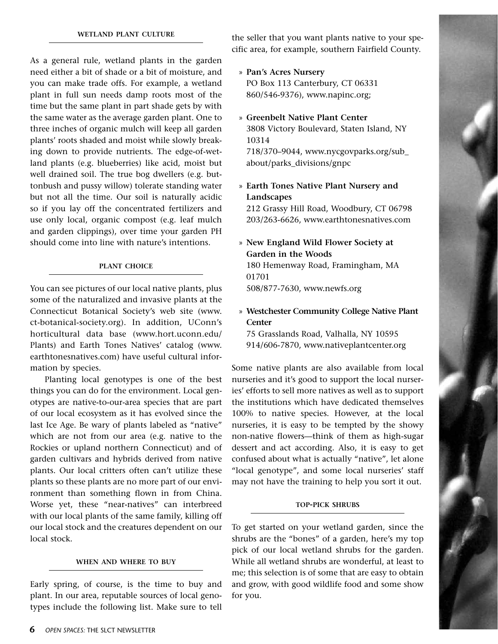As a general rule, wetland plants in the garden need either a bit of shade or a bit of moisture, and you can make trade offs. For example, a wetland plant in full sun needs damp roots most of the time but the same plant in part shade gets by with the same water as the average garden plant. One to three inches of organic mulch will keep all garden plants' roots shaded and moist while slowly breaking down to provide nutrients. The edge-of-wetland plants (e.g. blueberries) like acid, moist but well drained soil. The true bog dwellers (e.g. buttonbush and pussy willow) tolerate standing water but not all the time. Our soil is naturally acidic so if you lay off the concentrated fertilizers and use only local, organic compost (e.g. leaf mulch and garden clippings), over time your garden PH should come into line with nature's intentions.

#### **plant choice**

You can see pictures of our local native plants, plus some of the naturalized and invasive plants at the Connecticut Botanical Society's web site (www. ct-botanical-society.org). In addition, UConn's horticultural data base (www.hort.uconn.edu/ Plants) and Earth Tones Natives' catalog (www. earthtonesnatives.com) have useful cultural information by species.

Planting local genotypes is one of the best things you can do for the environment. Local genotypes are native-to-our-area species that are part of our local ecosystem as it has evolved since the last Ice Age. Be wary of plants labeled as "native" which are not from our area (e.g. native to the Rockies or upland northern Connecticut) and of garden cultivars and hybrids derived from native plants. Our local critters often can't utilize these plants so these plants are no more part of our environment than something flown in from China. Worse yet, these "near-natives" can interbreed with our local plants of the same family, killing off our local stock and the creatures dependent on our local stock.

#### **when and where to buy**

Early spring, of course, is the time to buy and plant. In our area, reputable sources of local genotypes include the following list. Make sure to tell the seller that you want plants native to your specific area, for example, southern Fairfield County.

- » **Pan's Acres Nursery** PO Box 113 Canterbury, CT 06331 860/546-9376), www.napinc.org;
- » **Greenbelt Native Plant Center** 3808 Victory Boulevard, Staten Island, NY 10314 718/370–9044, www.nycgovparks.org/sub\_ about/parks\_divisions/gnpc
- » **Earth Tones Native Plant Nursery and Landscapes**

212 Grassy Hill Road, Woodbury, CT 06798 203/263-6626, www.earthtonesnatives.com

- » **New England Wild Flower Society at Garden in the Woods** 180 Hemenway Road, Framingham, MA 01701 508/877-7630, www.newfs.org
- » **Westchester Community College Native Plant Center**

75 Grasslands Road, Valhalla, NY 10595 914/606-7870, www.nativeplantcenter.org

Some native plants are also available from local nurseries and it's good to support the local nurseries' efforts to sell more natives as well as to support the institutions which have dedicated themselves 100% to native species. However, at the local nurseries, it is easy to be tempted by the showy non-native flowers—think of them as high-sugar dessert and act according. Also, it is easy to get confused about what is actually "native", let alone "local genotype", and some local nurseries' staff may not have the training to help you sort it out.

#### **top-pick shrubs**

To get started on your wetland garden, since the shrubs are the "bones" of a garden, here's my top pick of our local wetland shrubs for the garden. While all wetland shrubs are wonderful, at least to me; this selection is of some that are easy to obtain and grow, with good wildlife food and some show for you.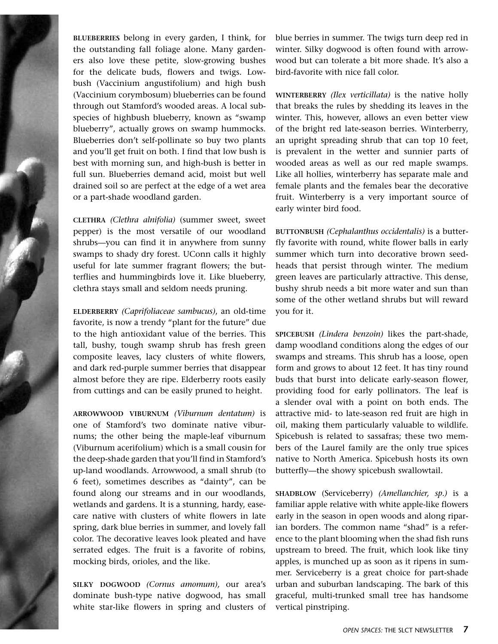**blueberries** belong in every garden, I think, for the outstanding fall foliage alone. Many gardeners also love these petite, slow-growing bushes for the delicate buds, flowers and twigs. Lowbush (Vaccinium angustifolium) and high bush (Vaccinium corymbosum) blueberries can be found through out Stamford's wooded areas. A local subspecies of highbush blueberry, known as "swamp blueberry", actually grows on swamp hummocks. Blueberries don't self-pollinate so buy two plants and you'll get fruit on both. I find that low bush is best with morning sun, and high-bush is better in full sun. Blueberries demand acid, moist but well drained soil so are perfect at the edge of a wet area or a part-shade woodland garden.

**clethra** *(Clethra alnifolia)* (summer sweet, sweet pepper) is the most versatile of our woodland shrubs—you can find it in anywhere from sunny swamps to shady dry forest. UConn calls it highly useful for late summer fragrant flowers; the butterflies and hummingbirds love it. Like blueberry, clethra stays small and seldom needs pruning.

**ELDERBERRY** *(Caprifoliaceae sambucus)*, an old-time favorite, is now a trendy "plant for the future" due to the high antioxidant value of the berries. This tall, bushy, tough swamp shrub has fresh green composite leaves, lacy clusters of white flowers, and dark red-purple summer berries that disappear almost before they are ripe. Elderberry roots easily from cuttings and can be easily pruned to height.

**arrowwood viburnum** *(Viburnum dentatum)* is one of Stamford's two dominate native viburnums; the other being the maple-leaf viburnum (Viburnum acerifolium) which is a small cousin for the deep-shade garden that you'll find in Stamford's up-land woodlands. Arrowwood, a small shrub (to 6 feet), sometimes describes as "dainty", can be found along our streams and in our woodlands, wetlands and gardens. It is a stunning, hardy, easecare native with clusters of white flowers in late spring, dark blue berries in summer, and lovely fall color. The decorative leaves look pleated and have serrated edges. The fruit is a favorite of robins, mocking birds, orioles, and the like.

**silky dogwood** *(Cornus amomum),* our area's dominate bush-type native dogwood, has small white star-like flowers in spring and clusters of blue berries in summer. The twigs turn deep red in winter. Silky dogwood is often found with arrowwood but can tolerate a bit more shade. It's also a bird-favorite with nice fall color.

**winterberry** *(Ilex verticillata)* is the native holly that breaks the rules by shedding its leaves in the winter. This, however, allows an even better view of the bright red late-season berries. Winterberry, an upright spreading shrub that can top 10 feet, is prevalent in the wetter and sunnier parts of wooded areas as well as our red maple swamps. Like all hollies, winterberry has separate male and female plants and the females bear the decorative fruit. Winterberry is a very important source of early winter bird food.

**buttonbush** *(Cephalanthus occidentalis)* is a butterfly favorite with round, white flower balls in early summer which turn into decorative brown seedheads that persist through winter. The medium green leaves are particularly attractive. This dense, bushy shrub needs a bit more water and sun than some of the other wetland shrubs but will reward you for it.

**spicebush** *(Lindera benzoin)* likes the part-shade, damp woodland conditions along the edges of our swamps and streams. This shrub has a loose, open form and grows to about 12 feet. It has tiny round buds that burst into delicate early-season flower, providing food for early pollinators. The leaf is a slender oval with a point on both ends. The attractive mid- to late-season red fruit are high in oil, making them particularly valuable to wildlife. Spicebush is related to sassafras; these two members of the Laurel family are the only true spices native to North America. Spicebush hosts its own butterfly—the showy spicebush swallowtail.

**SHADBLOW** (Serviceberry) *(Amellanchier, sp.)* is a familiar apple relative with white apple-like flowers early in the season in open woods and along riparian borders. The common name "shad" is a reference to the plant blooming when the shad fish runs upstream to breed. The fruit, which look like tiny apples, is munched up as soon as it ripens in summer. Serviceberry is a great choice for part-shade urban and suburban landscaping. The bark of this graceful, multi-trunked small tree has handsome vertical pinstriping.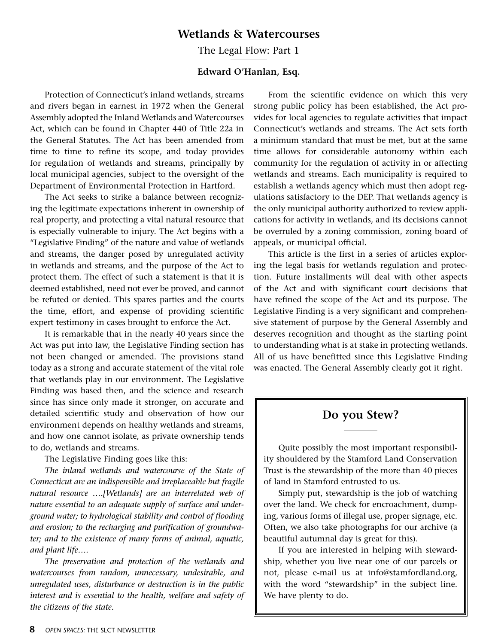## **Wetlands & Watercourses**

The Legal Flow: Part 1

### **Edward O'Hanlan, Esq.**

Protection of Connecticut's inland wetlands, streams and rivers began in earnest in 1972 when the General Assembly adopted the Inland Wetlands and Watercourses Act, which can be found in Chapter 440 of Title 22a in the General Statutes. The Act has been amended from time to time to refine its scope, and today provides for regulation of wetlands and streams, principally by local municipal agencies, subject to the oversight of the Department of Environmental Protection in Hartford.

The Act seeks to strike a balance between recognizing the legitimate expectations inherent in ownership of real property, and protecting a vital natural resource that is especially vulnerable to injury. The Act begins with a "Legislative Finding" of the nature and value of wetlands and streams, the danger posed by unregulated activity in wetlands and streams, and the purpose of the Act to protect them. The effect of such a statement is that it is deemed established, need not ever be proved, and cannot be refuted or denied. This spares parties and the courts the time, effort, and expense of providing scientific expert testimony in cases brought to enforce the Act.

It is remarkable that in the nearly 40 years since the Act was put into law, the Legislative Finding section has not been changed or amended. The provisions stand today as a strong and accurate statement of the vital role that wetlands play in our environment. The Legislative Finding was based then, and the science and research since has since only made it stronger, on accurate and detailed scientific study and observation of how our environment depends on healthy wetlands and streams, and how one cannot isolate, as private ownership tends to do, wetlands and streams.

The Legislative Finding goes like this:

*The inland wetlands and watercourse of the State of Connecticut are an indispensible and irreplaceable but fragile natural resource ….[Wetlands] are an interrelated web of nature essential to an adequate supply of surface and underground water; to hydrological stability and control of flooding and erosion; to the recharging and purification of groundwater; and to the existence of many forms of animal, aquatic, and plant life….*

*The preservation and protection of the wetlands and watercourses from random, unnecessary, undesirable, and unregulated uses, disturbance or destruction is in the public interest and is essential to the health, welfare and safety of the citizens of the state.*

From the scientific evidence on which this very strong public policy has been established, the Act provides for local agencies to regulate activities that impact Connecticut's wetlands and streams. The Act sets forth a minimum standard that must be met, but at the same time allows for considerable autonomy within each community for the regulation of activity in or affecting wetlands and streams. Each municipality is required to establish a wetlands agency which must then adopt regulations satisfactory to the DEP. That wetlands agency is the only municipal authority authorized to review applications for activity in wetlands, and its decisions cannot be overruled by a zoning commission, zoning board of appeals, or municipal official.

This article is the first in a series of articles exploring the legal basis for wetlands regulation and protection. Future installments will deal with other aspects of the Act and with significant court decisions that have refined the scope of the Act and its purpose. The Legislative Finding is a very significant and comprehensive statement of purpose by the General Assembly and deserves recognition and thought as the starting point to understanding what is at stake in protecting wetlands. All of us have benefitted since this Legislative Finding was enacted. The General Assembly clearly got it right.

## **Do you Stew?**

Quite possibly the most important responsibility shouldered by the Stamford Land Conservation Trust is the stewardship of the more than 40 pieces of land in Stamford entrusted to us.

Simply put, stewardship is the job of watching over the land. We check for encroachment, dumping, various forms of illegal use, proper signage, etc. Often, we also take photographs for our archive (a beautiful autumnal day is great for this).

If you are interested in helping with stewardship, whether you live near one of our parcels or not, please e-mail us at info@stamfordland.org, with the word "stewardship" in the subject line. We have plenty to do.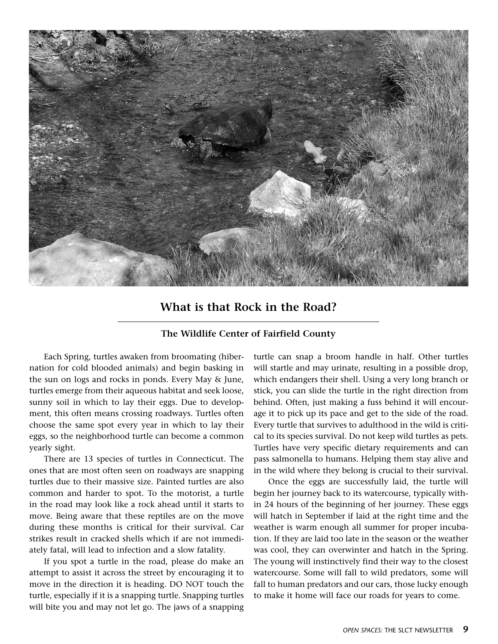

## **What is that Rock in the Road?**

## **The Wildlife Center of Fairfield County**

Each Spring, turtles awaken from broomating (hibernation for cold blooded animals) and begin basking in the sun on logs and rocks in ponds. Every May & June, turtles emerge from their aqueous habitat and seek loose, sunny soil in which to lay their eggs. Due to development, this often means crossing roadways. Turtles often choose the same spot every year in which to lay their eggs, so the neighborhood turtle can become a common yearly sight.

There are 13 species of turtles in Connecticut. The ones that are most often seen on roadways are snapping turtles due to their massive size. Painted turtles are also common and harder to spot. To the motorist, a turtle in the road may look like a rock ahead until it starts to move. Being aware that these reptiles are on the move during these months is critical for their survival. Car strikes result in cracked shells which if are not immediately fatal, will lead to infection and a slow fatality.

If you spot a turtle in the road, please do make an attempt to assist it across the street by encouraging it to move in the direction it is heading. DO NOT touch the turtle, especially if it is a snapping turtle. Snapping turtles will bite you and may not let go. The jaws of a snapping

turtle can snap a broom handle in half. Other turtles will startle and may urinate, resulting in a possible drop, which endangers their shell. Using a very long branch or stick, you can slide the turtle in the right direction from behind. Often, just making a fuss behind it will encourage it to pick up its pace and get to the side of the road. Every turtle that survives to adulthood in the wild is critical to its species survival. Do not keep wild turtles as pets. Turtles have very specific dietary requirements and can pass salmonella to humans. Helping them stay alive and in the wild where they belong is crucial to their survival.

Once the eggs are successfully laid, the turtle will begin her journey back to its watercourse, typically within 24 hours of the beginning of her journey. These eggs will hatch in September if laid at the right time and the weather is warm enough all summer for proper incubation. If they are laid too late in the season or the weather was cool, they can overwinter and hatch in the Spring. The young will instinctively find their way to the closest watercourse. Some will fall to wild predators, some will fall to human predators and our cars, those lucky enough to make it home will face our roads for years to come.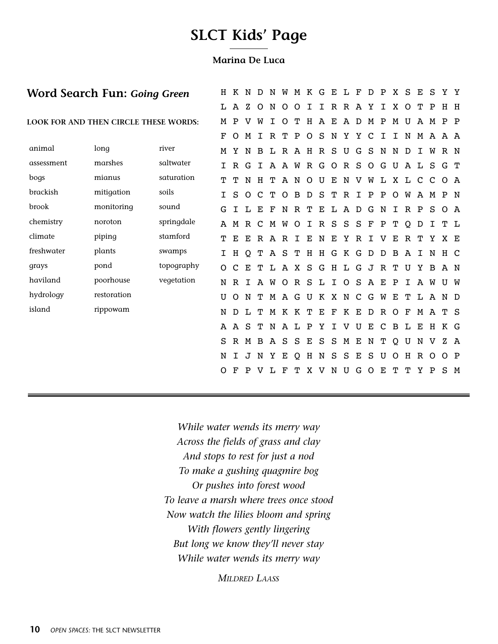# **SLCT Kids' Page**

### **Marina De Luca**

|            | Word Search Fun: Going Green          |            |         |              | K N          | D            | N            | W        |                       | M K G       |              | Е            | $T_{\rm L}$ | $\mathbf F$ | D            | P            | X            | <sub>S</sub> | Е            | S            | Y Y       |     |
|------------|---------------------------------------|------------|---------|--------------|--------------|--------------|--------------|----------|-----------------------|-------------|--------------|--------------|-------------|-------------|--------------|--------------|--------------|--------------|--------------|--------------|-----------|-----|
|            |                                       |            | L       | A            | z            | $\circ$      | N            | $\Omega$ | O                     | I           | I            | $\mathbb{R}$ | $\mathbf R$ | A           | Y            | Ι            | X            | O            | ጥ            | $\mathbf P$  | $H$ H     |     |
|            | LOOK FOR AND THEN CIRCLE THESE WORDS: |            | M       | P            |              | W            | T            | $\circ$  | т                     | Η           | $\mathbf{A}$ | Е            | A D         |             | M            | $\mathbf{P}$ | M            | U            | $\mathbf{A}$ | M            | $P$ $P$   |     |
|            |                                       |            | F       | $\circ$      | M            | $\mathsf{T}$ |              | R T P    |                       | $\circ$     | S            |              |             | N Y Y C I   |              |              | $\mathbf{I}$ |              |              |              | N M A A A |     |
| animal     | long                                  | river      | M       | Y            | N            | B            |              |          | L R A H R S U         |             |              |              |             |             | G S          | N            | N            | D            | $\mathsf{T}$ | W            | R N       |     |
| assessment | marshes                               | saltwater  | T.      | $\mathbb{R}$ | G            | $\mathbf{I}$ |              |          | A A W R G O R S O G U |             |              |              |             |             |              |              |              | A L          |              | S.           | G T       |     |
| bogs       | mianus                                | saturation | т       | т            |              |              |              |          | NHTANOUENVWLXLCC      |             |              |              |             |             |              |              |              |              |              |              | O A       |     |
| brackish   | mitigation                            | soils      | T.      | S            | $\circ$      |              | C T          |          | O B D S T R I P P     |             |              |              |             |             |              |              |              | O W A M      |              |              | P N       |     |
| brook      | monitoring                            | sound      | G       | I            | L            | Е            | F            | N        |                       | R T         | Е            | L            |             | A D         | G            | N            | I            | $\mathbf R$  | $\mathbf P$  | S            | O A       |     |
| chemistry  | noroton                               | springdale | A       | M            | $\mathbb{R}$ | C            | M            | W        | $\circ$               | $\mathbf I$ |              | R S          | S           | S           | $\mathbf{F}$ | P            | т            | Q            | D            | I            | T L       |     |
| climate    | piping                                | stamford   | т       | Е            | Е            |              | R A R        |          | I.                    | Е           | N            | Е            | Υ           | $\mathbb R$ | I            | v            | Е            | $\mathbf R$  | т            | Y            | X E       |     |
| freshwater | plants                                | swamps     | I.      | H            | Q            |              | T A S        |          |                       |             |              |              |             | THHGKGDDB   |              |              |              | $\mathbf{A}$ | $\mathbf I$  |              | N H C     |     |
| grays      | pond                                  | topography | $\circ$ | $\mathsf{C}$ | Е            | т            |              |          | L A X                 | S           |              |              |             | G H L G J R |              |              | т            | U            | Y            | B            | A N       |     |
| haviland   | poorhouse                             | vegetation | N       | $\mathbb{R}$ | $\mathbf{I}$ |              | A W          |          | ORSL                  |             |              |              |             | I O S A E P |              |              |              | $\mathbf I$  |              | A W          | U W       |     |
| hydrology  | restoration                           |            | U       | $\circ$      | N            | т            |              |          | M A G U K X N C G W E |             |              |              |             |             |              |              |              | т            | L            | $\mathbf{A}$ | N D       |     |
| island     | rippowam                              |            | N       | D            | L            | т            |              |          | M K K T E F K E D R O |             |              |              |             |             |              |              |              | $\mathbf{F}$ | M            | $\mathbf{A}$ | T S       |     |
|            |                                       |            | A       | A            | -S           | т            |              |          | N A L                 | $\mathbf P$ | Υ            |              | I V U       |             | Е            | $\mathbf{C}$ | B            | L            | Е            |              | H K G     |     |
|            |                                       |            | S       | $\mathbb{R}$ | M            | B            | $\mathbf{A}$ | S        | S                     | Е           | S            | S            | $\mathbf M$ | $\mathbf E$ | N            | т            | Q            | U            | N            | v            |           | Z A |
|            |                                       |            | N       |              | J            | N            | Y            | Е        | <sup>O</sup>          | Н           | N            | S            | S           | Е           | S            | U            | Ω            | Η            | $\mathbb R$  | $\Omega$     | $O$ $P$   |     |
|            |                                       |            | O       |              |              |              |              | F        |                       | X           | v            | N            | U           | G           | O            | Е            | т            | т            | Y            | P            | S M       |     |
|            |                                       |            |         |              |              |              |              |          |                       |             |              |              |             |             |              |              |              |              |              |              |           |     |

*While water wends its merry way Across the fields of grass and clay And stops to rest for just a nod To make a gushing quagmire bog Or pushes into forest wood To leave a marsh where trees once stood Now watch the lilies bloom and spring With flowers gently lingering But long we know they'll never stay While water wends its merry way*

*Mildred Laass*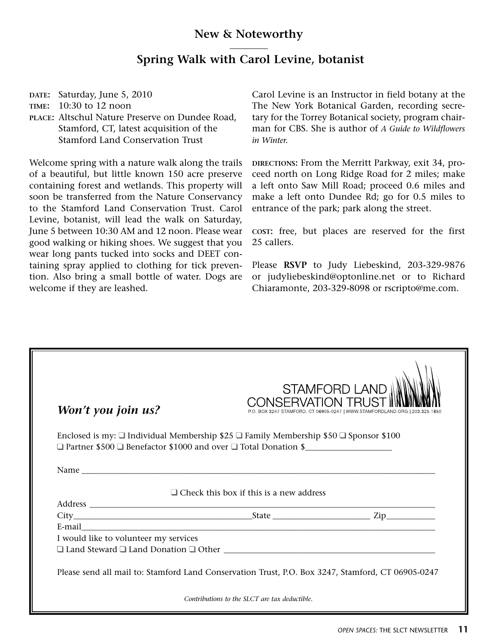## **New & Noteworthy**

## **Spring Walk with Carol Levine, botanist**

**date:** Saturday, June 5, 2010

**time:** 10:30 to 12 noon

**place:** Altschul Nature Preserve on Dundee Road, Stamford, CT, latest acquisition of the Stamford Land Conservation Trust

Welcome spring with a nature walk along the trails of a beautiful, but little known 150 acre preserve containing forest and wetlands. This property will soon be transferred from the Nature Conservancy to the Stamford Land Conservation Trust. Carol Levine, botanist, will lead the walk on Saturday, June 5 between 10:30 AM and 12 noon. Please wear good walking or hiking shoes. We suggest that you wear long pants tucked into socks and DEET containing spray applied to clothing for tick prevention. Also bring a small bottle of water. Dogs are welcome if they are leashed.

Carol Levine is an Instructor in field botany at the The New York Botanical Garden, recording secretary for the Torrey Botanical society, program chairman for CBS. She is author of *A Guide to Wildflowers in Winter.*

**directions:** From the Merritt Parkway, exit 34, proceed north on Long Ridge Road for 2 miles; make a left onto Saw Mill Road; proceed 0.6 miles and make a left onto Dundee Rd; go for 0.5 miles to entrance of the park; park along the street.

**cost:** free, but places are reserved for the first 25 callers.

Please **RSVP** to Judy Liebeskind, 203-329-9876 or judyliebeskind@optonline.net or to Richard Chiaramonte, 203-329-8098 or rscripto@me.com.

| Won't you join us?                    | <b>STAMFORD LAND</b><br>CONISERVATIONI TE                                                                                                                                                        | 3247 STAMFORD, CT 06905-0247   WWW STAMFORDLAND ORG   203 325 1850 |
|---------------------------------------|--------------------------------------------------------------------------------------------------------------------------------------------------------------------------------------------------|--------------------------------------------------------------------|
|                                       | Enclosed is my: $\square$ Individual Membership \$25 $\square$ Family Membership \$50 $\square$ Sponsor \$100<br>$\Box$ Partner \$500 $\Box$ Benefactor \$1000 and over $\Box$ Total Donation \$ |                                                                    |
|                                       |                                                                                                                                                                                                  |                                                                    |
|                                       |                                                                                                                                                                                                  |                                                                    |
|                                       | $\Box$ Check this box if this is a new address                                                                                                                                                   |                                                                    |
|                                       |                                                                                                                                                                                                  |                                                                    |
|                                       |                                                                                                                                                                                                  |                                                                    |
|                                       | E-mail 2008 2009 2009 2009 2009 2009 2010 2021 2022 2023 2024 2025 2020 2021 2022 2023 2024 2025 2026 2027 202                                                                                   |                                                                    |
|                                       |                                                                                                                                                                                                  |                                                                    |
| I would like to volunteer my services |                                                                                                                                                                                                  |                                                                    |